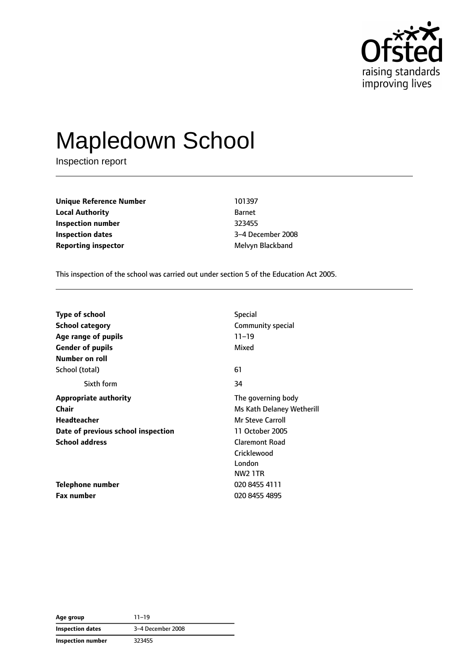

# Mapledown School

Inspection report

**Unique Reference Number** 101397 **Local Authority** Barnet **Inspection number** 323455 **Inspection dates** 3–4 December 2008 **Reporting inspector** Melvyn Blackband

This inspection of the school was carried out under section 5 of the Education Act 2005.

| <b>Type of school</b>              | <b>Special</b>            |
|------------------------------------|---------------------------|
| <b>School category</b>             | Community special         |
| Age range of pupils                | $11 - 19$                 |
| <b>Gender of pupils</b>            | Mixed                     |
| Number on roll                     |                           |
| School (total)                     | 61                        |
| Sixth form                         | 34                        |
| <b>Appropriate authority</b>       | The governing body        |
| Chair                              | Ms Kath Delaney Wetherill |
| Headteacher                        | <b>Mr Steve Carroll</b>   |
| Date of previous school inspection | 11 October 2005           |
| <b>School address</b>              | <b>Claremont Road</b>     |
|                                    | Cricklewood               |
|                                    | London                    |
|                                    | NW2 1TR                   |
| Telephone number                   | 020 8455 4111             |
| <b>Fax number</b>                  | 020 8455 4895             |

**Age group** 11–19 **Inspection dates** 3–4 December 2008 **Inspection number** 323455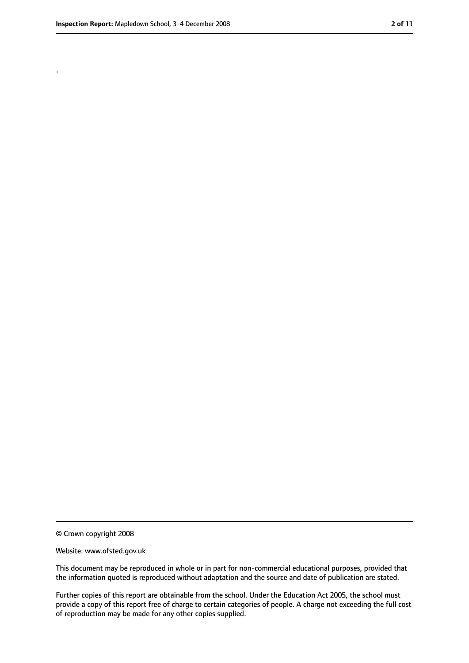.

<sup>©</sup> Crown copyright 2008

Website: www.ofsted.gov.uk

This document may be reproduced in whole or in part for non-commercial educational purposes, provided that the information quoted is reproduced without adaptation and the source and date of publication are stated.

Further copies of this report are obtainable from the school. Under the Education Act 2005, the school must provide a copy of this report free of charge to certain categories of people. A charge not exceeding the full cost of reproduction may be made for any other copies supplied.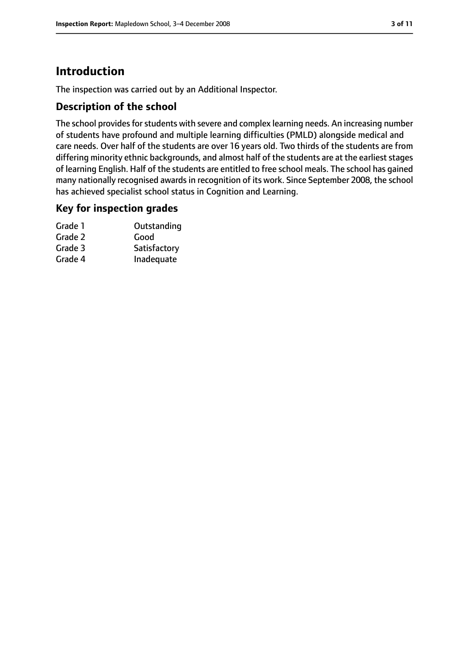# **Introduction**

The inspection was carried out by an Additional Inspector.

#### **Description of the school**

The school provides for students with severe and complex learning needs. An increasing number of students have profound and multiple learning difficulties (PMLD) alongside medical and care needs. Over half of the students are over 16 years old. Two thirds of the students are from differing minority ethnic backgrounds, and almost half of the students are at the earliest stages of learning English. Half of the students are entitled to free school meals. The school has gained many nationally recognised awards in recognition of its work. Since September 2008, the school has achieved specialist school status in Cognition and Learning.

### **Key for inspection grades**

| Grade 1 | Outstanding  |
|---------|--------------|
| Grade 2 | Good         |
| Grade 3 | Satisfactory |
| Grade 4 | Inadequate   |
|         |              |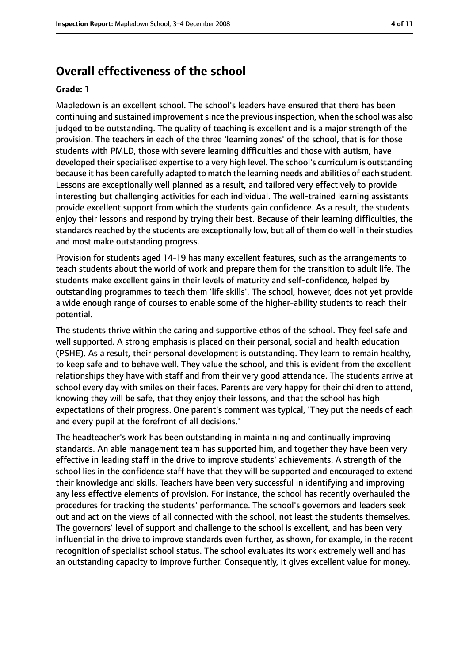#### **Overall effectiveness of the school**

#### **Grade: 1**

Mapledown is an excellent school. The school's leaders have ensured that there has been continuing and sustained improvement since the previous inspection, when the school was also judged to be outstanding. The quality of teaching is excellent and is a major strength of the provision. The teachers in each of the three 'learning zones' of the school, that is for those students with PMLD, those with severe learning difficulties and those with autism, have developed their specialised expertise to a very high level. The school's curriculum is outstanding because it has been carefully adapted to match the learning needs and abilities of each student. Lessons are exceptionally well planned as a result, and tailored very effectively to provide interesting but challenging activities for each individual. The well-trained learning assistants provide excellent support from which the students gain confidence. As a result, the students enjoy their lessons and respond by trying their best. Because of their learning difficulties, the standards reached by the students are exceptionally low, but all of them do well in their studies and most make outstanding progress.

Provision for students aged 14-19 has many excellent features, such as the arrangements to teach students about the world of work and prepare them for the transition to adult life. The students make excellent gains in their levels of maturity and self-confidence, helped by outstanding programmes to teach them 'life skills'. The school, however, does not yet provide a wide enough range of courses to enable some of the higher-ability students to reach their potential.

The students thrive within the caring and supportive ethos of the school. They feel safe and well supported. A strong emphasis is placed on their personal, social and health education (PSHE). As a result, their personal development is outstanding. They learn to remain healthy, to keep safe and to behave well. They value the school, and this is evident from the excellent relationships they have with staff and from their very good attendance. The students arrive at school every day with smiles on their faces. Parents are very happy for their children to attend, knowing they will be safe, that they enjoy their lessons, and that the school has high expectations of their progress. One parent's comment was typical, 'They put the needs of each and every pupil at the forefront of all decisions.'

The headteacher's work has been outstanding in maintaining and continually improving standards. An able management team has supported him, and together they have been very effective in leading staff in the drive to improve students' achievements. A strength of the school lies in the confidence staff have that they will be supported and encouraged to extend their knowledge and skills. Teachers have been very successful in identifying and improving any less effective elements of provision. For instance, the school has recently overhauled the procedures for tracking the students' performance. The school's governors and leaders seek out and act on the views of all connected with the school, not least the students themselves. The governors' level of support and challenge to the school is excellent, and has been very influential in the drive to improve standards even further, as shown, for example, in the recent recognition of specialist school status. The school evaluates its work extremely well and has an outstanding capacity to improve further. Consequently, it gives excellent value for money.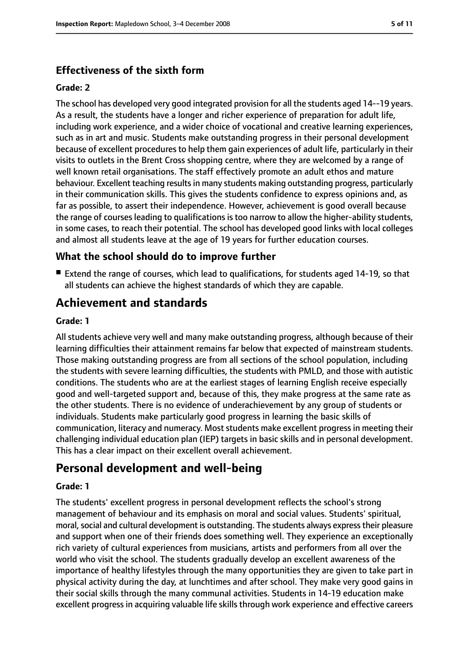#### **Effectiveness of the sixth form**

#### **Grade: 2**

The school has developed very good integrated provision for all the students aged 14--19 years. As a result, the students have a longer and richer experience of preparation for adult life, including work experience, and a wider choice of vocational and creative learning experiences, such as in art and music. Students make outstanding progress in their personal development because of excellent procedures to help them gain experiences of adult life, particularly in their visits to outlets in the Brent Cross shopping centre, where they are welcomed by a range of well known retail organisations. The staff effectively promote an adult ethos and mature behaviour. Excellent teaching results in many students making outstanding progress, particularly in their communication skills. This gives the students confidence to express opinions and, as far as possible, to assert their independence. However, achievement is good overall because the range of courses leading to qualifications is too narrow to allow the higher-ability students, in some cases, to reach their potential. The school has developed good links with local colleges and almost all students leave at the age of 19 years for further education courses.

#### **What the school should do to improve further**

■ Extend the range of courses, which lead to qualifications, for students aged 14-19, so that all students can achieve the highest standards of which they are capable.

## **Achievement and standards**

#### **Grade: 1**

All students achieve very well and many make outstanding progress, although because of their learning difficulties their attainment remains far below that expected of mainstream students. Those making outstanding progress are from all sections of the school population, including the students with severe learning difficulties, the students with PMLD, and those with autistic conditions. The students who are at the earliest stages of learning English receive especially good and well-targeted support and, because of this, they make progress at the same rate as the other students. There is no evidence of underachievement by any group of students or individuals. Students make particularly good progress in learning the basic skills of communication, literacy and numeracy. Most students make excellent progress in meeting their challenging individual education plan (IEP) targets in basic skills and in personal development. This has a clear impact on their excellent overall achievement.

### **Personal development and well-being**

#### **Grade: 1**

The students' excellent progress in personal development reflects the school's strong management of behaviour and its emphasis on moral and social values. Students' spiritual, moral, social and cultural development is outstanding. The students always express their pleasure and support when one of their friends does something well. They experience an exceptionally rich variety of cultural experiences from musicians, artists and performers from all over the world who visit the school. The students gradually develop an excellent awareness of the importance of healthy lifestyles through the many opportunities they are given to take part in physical activity during the day, at lunchtimes and after school. They make very good gains in their social skills through the many communal activities. Students in 14-19 education make excellent progress in acquiring valuable life skills through work experience and effective careers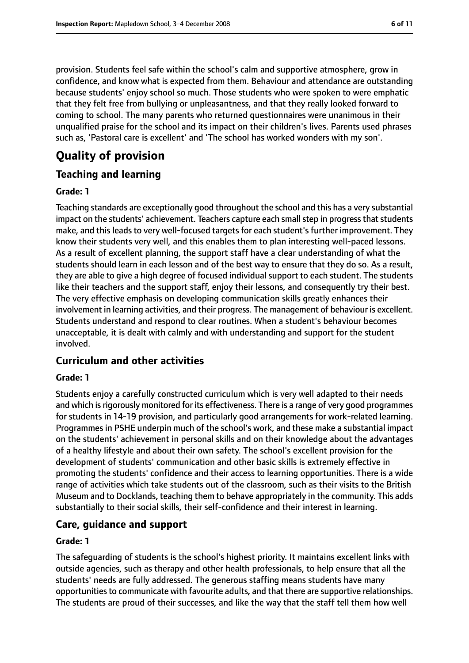provision. Students feel safe within the school's calm and supportive atmosphere, grow in confidence, and know what is expected from them. Behaviour and attendance are outstanding because students' enjoy school so much. Those students who were spoken to were emphatic that they felt free from bullying or unpleasantness, and that they really looked forward to coming to school. The many parents who returned questionnaires were unanimous in their unqualified praise for the school and its impact on their children's lives. Parents used phrases such as, 'Pastoral care is excellent' and 'The school has worked wonders with my son'.

# **Quality of provision**

#### **Teaching and learning**

#### **Grade: 1**

Teaching standards are exceptionally good throughout the school and this has a very substantial impact on the students' achievement. Teachers capture each small step in progress that students make, and this leads to very well-focused targets for each student's further improvement. They know their students very well, and this enables them to plan interesting well-paced lessons. As a result of excellent planning, the support staff have a clear understanding of what the students should learn in each lesson and of the best way to ensure that they do so. As a result, they are able to give a high degree of focused individual support to each student. The students like their teachers and the support staff, enjoy their lessons, and consequently try their best. The very effective emphasis on developing communication skills greatly enhances their involvement in learning activities, and their progress. The management of behaviour is excellent. Students understand and respond to clear routines. When a student's behaviour becomes unacceptable, it is dealt with calmly and with understanding and support for the student involved.

#### **Curriculum and other activities**

#### **Grade: 1**

Students enjoy a carefully constructed curriculum which is very well adapted to their needs and which is rigorously monitored for its effectiveness. There is a range of very good programmes for students in 14-19 provision, and particularly good arrangements for work-related learning. Programmes in PSHE underpin much of the school's work, and these make a substantial impact on the students' achievement in personal skills and on their knowledge about the advantages of a healthy lifestyle and about their own safety. The school's excellent provision for the development of students' communication and other basic skills is extremely effective in promoting the students' confidence and their access to learning opportunities. There is a wide range of activities which take students out of the classroom, such as their visits to the British Museum and to Docklands, teaching them to behave appropriately in the community. This adds substantially to their social skills, their self-confidence and their interest in learning.

#### **Care, guidance and support**

#### **Grade: 1**

The safeguarding of students is the school's highest priority. It maintains excellent links with outside agencies, such as therapy and other health professionals, to help ensure that all the students' needs are fully addressed. The generous staffing means students have many opportunitiesto communicate with favourite adults, and that there are supportive relationships. The students are proud of their successes, and like the way that the staff tell them how well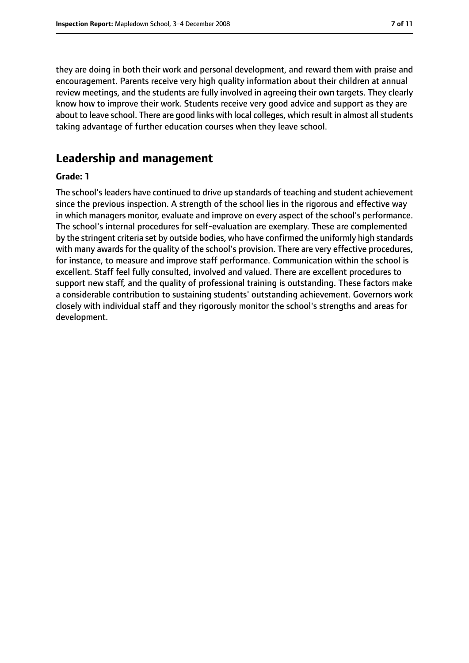they are doing in both their work and personal development, and reward them with praise and encouragement. Parents receive very high quality information about their children at annual review meetings, and the students are fully involved in agreeing their own targets. They clearly know how to improve their work. Students receive very good advice and support as they are about to leave school. There are good links with local colleges, which result in almost all students taking advantage of further education courses when they leave school.

#### **Leadership and management**

#### **Grade: 1**

The school's leaders have continued to drive up standards of teaching and student achievement since the previous inspection. A strength of the school lies in the rigorous and effective way in which managers monitor, evaluate and improve on every aspect of the school's performance. The school's internal procedures for self-evaluation are exemplary. These are complemented by the stringent criteria set by outside bodies, who have confirmed the uniformly high standards with many awards for the quality of the school's provision. There are very effective procedures, for instance, to measure and improve staff performance. Communication within the school is excellent. Staff feel fully consulted, involved and valued. There are excellent procedures to support new staff, and the quality of professional training is outstanding. These factors make a considerable contribution to sustaining students' outstanding achievement. Governors work closely with individual staff and they rigorously monitor the school's strengths and areas for development.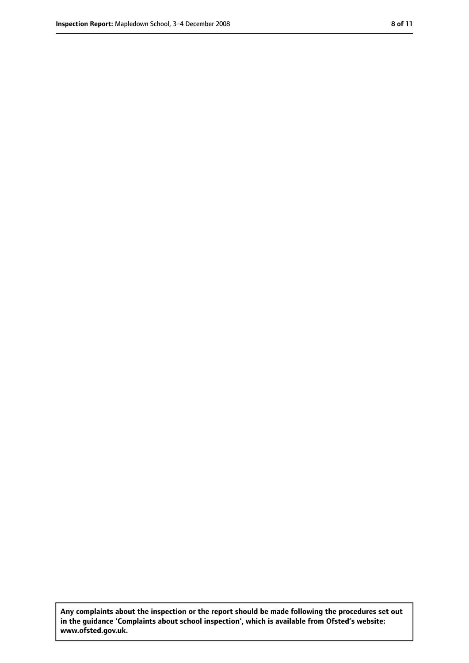**Any complaints about the inspection or the report should be made following the procedures set out in the guidance 'Complaints about school inspection', which is available from Ofsted's website: www.ofsted.gov.uk.**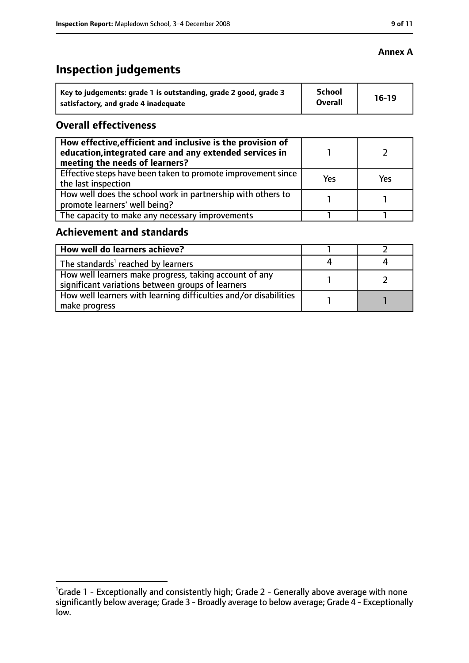# **Inspection judgements**

| Key to judgements: grade 1 is outstanding, grade 2 good, grade 3 | <b>School</b><br><b>Overall</b> | $16-19$ |
|------------------------------------------------------------------|---------------------------------|---------|
| satisfactory, and grade 4 inadequate                             |                                 |         |

#### **Overall effectiveness**

| How effective, efficient and inclusive is the provision of<br>education, integrated care and any extended services in<br>meeting the needs of learners? |     |     |
|---------------------------------------------------------------------------------------------------------------------------------------------------------|-----|-----|
| Effective steps have been taken to promote improvement since<br>the last inspection                                                                     | Yes | Yes |
| How well does the school work in partnership with others to<br>promote learners' well being?                                                            |     |     |
| The capacity to make any necessary improvements                                                                                                         |     |     |

#### **Achievement and standards**

| How well do learners achieve?                                                                               |  |
|-------------------------------------------------------------------------------------------------------------|--|
| The standards <sup>1</sup> reached by learners                                                              |  |
| How well learners make progress, taking account of any<br>significant variations between groups of learners |  |
| How well learners with learning difficulties and/or disabilities<br>make progress                           |  |

#### **Annex A**

<sup>&</sup>lt;sup>1</sup>Grade 1 - Exceptionally and consistently high; Grade 2 - Generally above average with none significantly below average; Grade 3 - Broadly average to below average; Grade 4 - Exceptionally low.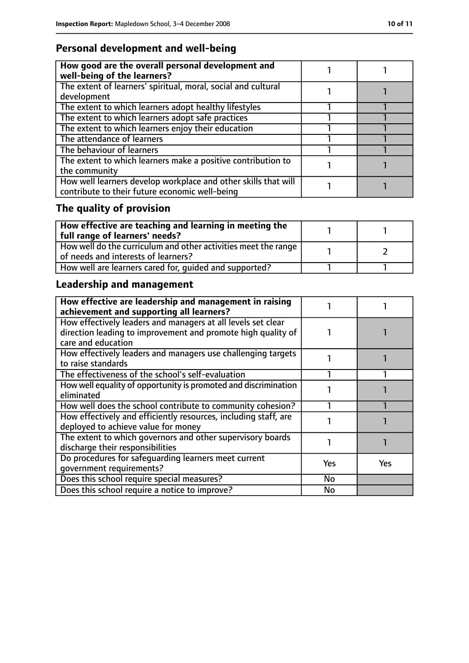# **Personal development and well-being**

| How good are the overall personal development and<br>well-being of the learners?                                 |  |
|------------------------------------------------------------------------------------------------------------------|--|
| The extent of learners' spiritual, moral, social and cultural<br>development                                     |  |
| The extent to which learners adopt healthy lifestyles                                                            |  |
| The extent to which learners adopt safe practices                                                                |  |
| The extent to which learners enjoy their education                                                               |  |
| The attendance of learners                                                                                       |  |
| The behaviour of learners                                                                                        |  |
| The extent to which learners make a positive contribution to<br>the community                                    |  |
| How well learners develop workplace and other skills that will<br>contribute to their future economic well-being |  |

# **The quality of provision**

| $\mid$ How effective are teaching and learning in meeting the<br>full range of learners' needs?       |  |
|-------------------------------------------------------------------------------------------------------|--|
| How well do the curriculum and other activities meet the range<br>of needs and interests of learners? |  |
| How well are learners cared for, quided and supported?                                                |  |

# **Leadership and management**

| How effective are leadership and management in raising<br>achievement and supporting all learners?                                                 |     |     |
|----------------------------------------------------------------------------------------------------------------------------------------------------|-----|-----|
| How effectively leaders and managers at all levels set clear<br>direction leading to improvement and promote high quality of<br>care and education |     |     |
| How effectively leaders and managers use challenging targets<br>to raise standards                                                                 |     |     |
| The effectiveness of the school's self-evaluation                                                                                                  |     |     |
| How well equality of opportunity is promoted and discrimination<br>eliminated                                                                      |     |     |
| How well does the school contribute to community cohesion?                                                                                         |     |     |
| How effectively and efficiently resources, including staff, are<br>deployed to achieve value for money                                             |     |     |
| The extent to which governors and other supervisory boards<br>discharge their responsibilities                                                     |     |     |
| Do procedures for safeguarding learners meet current<br>qovernment requirements?                                                                   | Yes | Yes |
| Does this school require special measures?                                                                                                         | No  |     |
| Does this school require a notice to improve?                                                                                                      | No  |     |